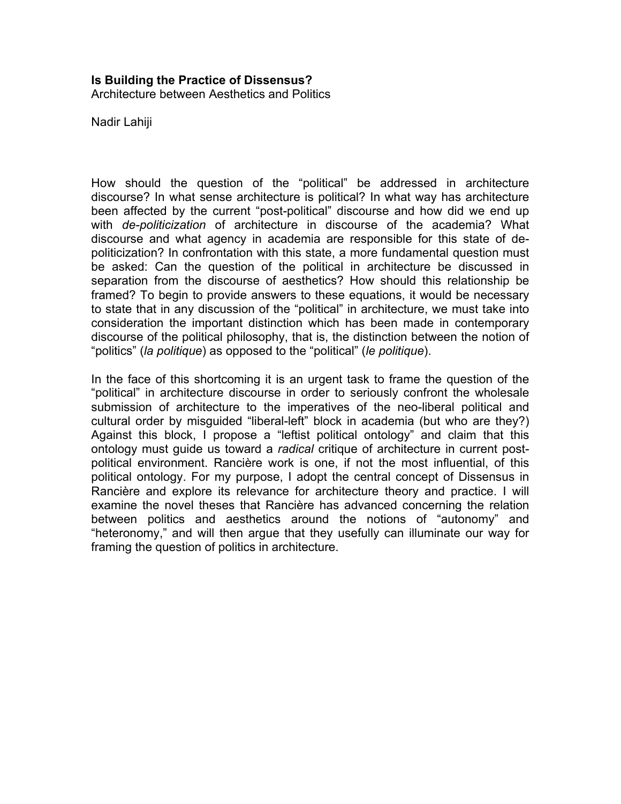#### **Is Building the Practice of Dissensus?**

Architecture between Aesthetics and Politics

Nadir Lahiji

How should the question of the "political" be addressed in architecture discourse? In what sense architecture is political? In what way has architecture been affected by the current "post-political" discourse and how did we end up with *de-politicization* of architecture in discourse of the academia? What discourse and what agency in academia are responsible for this state of depoliticization? In confrontation with this state, a more fundamental question must be asked: Can the question of the political in architecture be discussed in separation from the discourse of aesthetics? How should this relationship be framed? To begin to provide answers to these equations, it would be necessary to state that in any discussion of the "political" in architecture, we must take into consideration the important distinction which has been made in contemporary discourse of the political philosophy, that is, the distinction between the notion of "politics" (*la politique*) as opposed to the "political" (*le politique*).

In the face of this shortcoming it is an urgent task to frame the question of the "political" in architecture discourse in order to seriously confront the wholesale submission of architecture to the imperatives of the neo-liberal political and cultural order by misguided "liberal-left" block in academia (but who are they?) Against this block, I propose a "leftist political ontology" and claim that this ontology must guide us toward a *radical* critique of architecture in current postpolitical environment. Rancière work is one, if not the most influential, of this political ontology. For my purpose, I adopt the central concept of Dissensus in Rancière and explore its relevance for architecture theory and practice. I will examine the novel theses that Rancière has advanced concerning the relation between politics and aesthetics around the notions of "autonomy" and "heteronomy," and will then argue that they usefully can illuminate our way for framing the question of politics in architecture.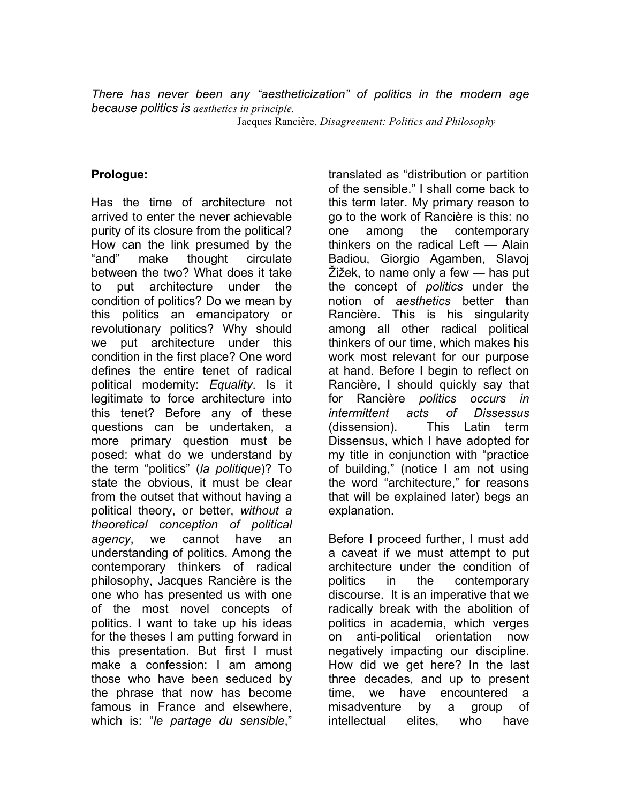*There has never been any "aestheticization" of politics in the modern age because politics is aesthetics in principle.* 

Jacques Rancière, *Disagreement: Politics and Philosophy*

#### **Prologue:**

Has the time of architecture not arrived to enter the never achievable purity of its closure from the political? How can the link presumed by the "and" make thought circulate between the two? What does it take to put architecture under the condition of politics? Do we mean by this politics an emancipatory or revolutionary politics? Why should we put architecture under this condition in the first place? One word defines the entire tenet of radical political modernity: *Equality*. Is it legitimate to force architecture into this tenet? Before any of these questions can be undertaken, a more primary question must be posed: what do we understand by the term "politics" (*la politique*)? To state the obvious, it must be clear from the outset that without having a political theory, or better, *without a theoretical conception of political agency*, we cannot have an understanding of politics. Among the contemporary thinkers of radical philosophy, Jacques Rancière is the one who has presented us with one of the most novel concepts of politics. I want to take up his ideas for the theses I am putting forward in this presentation. But first I must make a confession: I am among those who have been seduced by the phrase that now has become famous in France and elsewhere, which is: "*le partage du sensible*,"

translated as "distribution or partition of the sensible." I shall come back to this term later. My primary reason to go to the work of Rancière is this: no one among the contemporary thinkers on the radical Left — Alain Badiou, Giorgio Agamben, Slavoj Žižek, to name only a few — has put the concept of *politics* under the notion of *aesthetics* better than Rancière. This is his singularity among all other radical political thinkers of our time, which makes his work most relevant for our purpose at hand. Before I begin to reflect on Rancière, I should quickly say that for Rancière *politics occurs in intermittent acts of Dissessus* (dissension). This Latin term Dissensus, which I have adopted for my title in conjunction with "practice of building," (notice I am not using the word "architecture," for reasons that will be explained later) begs an explanation.

Before I proceed further, I must add a caveat if we must attempt to put architecture under the condition of politics in the contemporary discourse. It is an imperative that we radically break with the abolition of politics in academia, which verges on anti-political orientation now negatively impacting our discipline. How did we get here? In the last three decades, and up to present time, we have encountered a misadventure by a group of intellectual elites, who have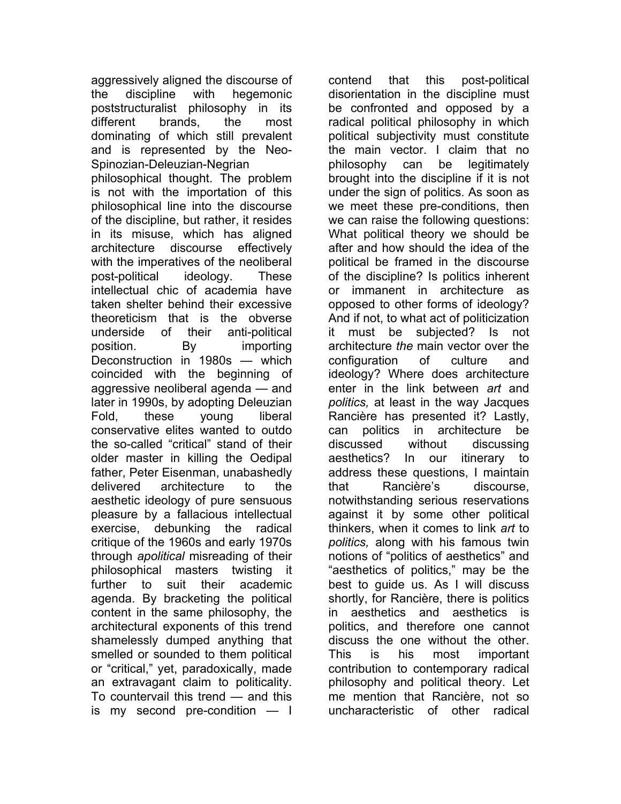aggressively aligned the discourse of the discipline with hegemonic poststructuralist philosophy in its different brands, the most dominating of which still prevalent and is represented by the Neo-Spinozian-Deleuzian-Negrian philosophical thought. The problem is not with the importation of this philosophical line into the discourse of the discipline, but rather, it resides in its misuse, which has aligned architecture discourse effectively with the imperatives of the neoliberal post-political ideology. These intellectual chic of academia have taken shelter behind their excessive theoreticism that is the obverse underside of their anti-political position. By importing Deconstruction in 1980s — which coincided with the beginning of aggressive neoliberal agenda — and later in 1990s, by adopting Deleuzian Fold, these young liberal conservative elites wanted to outdo the so-called "critical" stand of their older master in killing the Oedipal father, Peter Eisenman, unabashedly delivered architecture to the aesthetic ideology of pure sensuous pleasure by a fallacious intellectual exercise, debunking the radical critique of the 1960s and early 1970s through *apolitical* misreading of their philosophical masters twisting it further to suit their academic agenda. By bracketing the political content in the same philosophy, the architectural exponents of this trend shamelessly dumped anything that smelled or sounded to them political or "critical," yet, paradoxically, made an extravagant claim to politicality. To countervail this trend — and this is my second pre-condition — I

contend that this post-political disorientation in the discipline must be confronted and opposed by a radical political philosophy in which political subjectivity must constitute the main vector. I claim that no philosophy can be legitimately brought into the discipline if it is not under the sign of politics. As soon as we meet these pre-conditions, then we can raise the following questions: What political theory we should be after and how should the idea of the political be framed in the discourse of the discipline? Is politics inherent or immanent in architecture as opposed to other forms of ideology? And if not, to what act of politicization it must be subjected? Is not architecture *the* main vector over the configuration of culture and ideology? Where does architecture enter in the link between *art* and *politics,* at least in the way Jacques Rancière has presented it? Lastly, can politics in architecture be discussed without discussing aesthetics? In our itinerary to address these questions, I maintain that Rancière's discourse, notwithstanding serious reservations against it by some other political thinkers, when it comes to link *art* to *politics,* along with his famous twin notions of "politics of aesthetics" and "aesthetics of politics," may be the best to guide us. As I will discuss shortly, for Rancière, there is politics in aesthetics and aesthetics is politics, and therefore one cannot discuss the one without the other. This is his most important contribution to contemporary radical philosophy and political theory. Let me mention that Rancière, not so uncharacteristic of other radical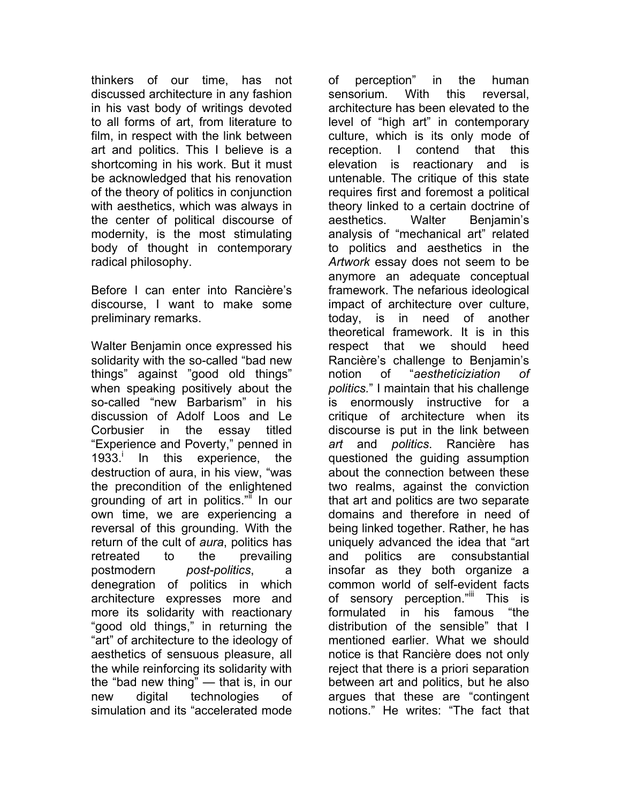thinkers of our time, has not discussed architecture in any fashion in his vast body of writings devoted to all forms of art, from literature to film, in respect with the link between art and politics. This I believe is a shortcoming in his work. But it must be acknowledged that his renovation of the theory of politics in conjunction with aesthetics, which was always in the center of political discourse of modernity, is the most stimulating body of thought in contemporary radical philosophy.

Before I can enter into Rancière's discourse, I want to make some preliminary remarks.

Walter Benjamin once expressed his solidarity with the so-called "bad new things" against "good old things" when speaking positively about the so-called "new Barbarism" in his discussion of Adolf Loos and Le Corbusier in the essay titled "Experience and Poverty," penned in 1933. In this experience, the destruction of aura, in his view, "was the precondition of the enlightened grounding of art in politics." In our own time, we are experiencing a reversal of this grounding. With the return of the cult of *aura*, politics has retreated to the prevailing postmodern *post-politics*, a denegration of politics in which architecture expresses more and more its solidarity with reactionary "good old things," in returning the "art" of architecture to the ideology of aesthetics of sensuous pleasure, all the while reinforcing its solidarity with the "bad new thing" — that is, in our new digital technologies of simulation and its "accelerated mode

of perception" in the human sensorium. With this reversal, architecture has been elevated to the level of "high art" in contemporary culture, which is its only mode of reception. I contend that this elevation is reactionary and is untenable. The critique of this state requires first and foremost a political theory linked to a certain doctrine of aesthetics. Walter Benjamin's analysis of "mechanical art" related to politics and aesthetics in the *Artwork* essay does not seem to be anymore an adequate conceptual framework. The nefarious ideological impact of architecture over culture, today, is in need of another theoretical framework. It is in this respect that we should heed Rancière's challenge to Benjamin's notion of "*aestheticiziation of politics.*" I maintain that his challenge is enormously instructive for a critique of architecture when its discourse is put in the link between *art* and *politics*. Rancière has questioned the guiding assumption about the connection between these two realms, against the conviction that art and politics are two separate domains and therefore in need of being linked together. Rather, he has uniquely advanced the idea that "art and politics are consubstantial insofar as they both organize a common world of self-evident facts of sensory perception."<sup>iii</sup> This is formulated in his famous "the distribution of the sensible" that I mentioned earlier. What we should notice is that Rancière does not only reject that there is a priori separation between art and politics, but he also argues that these are "contingent notions." He writes: "The fact that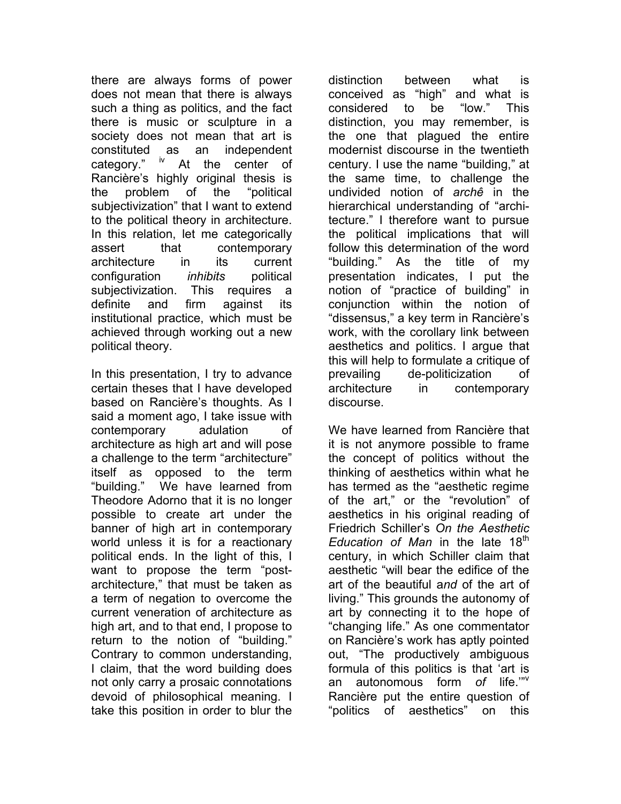there are always forms of power does not mean that there is always such a thing as politics, and the fact there is music or sculpture in a society does not mean that art is constituted as an independent category." <sup>iv</sup> At the center of Rancière's highly original thesis is the problem of the "political subjectivization" that I want to extend to the political theory in architecture. In this relation, let me categorically assert that contemporary architecture in its current configuration *inhibits* political subjectivization. This requires a definite and firm against its institutional practice, which must be achieved through working out a new political theory.

In this presentation, I try to advance certain theses that I have developed based on Rancière's thoughts. As I said a moment ago, I take issue with contemporary adulation of architecture as high art and will pose a challenge to the term "architecture" itself as opposed to the term "building." We have learned from Theodore Adorno that it is no longer possible to create art under the banner of high art in contemporary world unless it is for a reactionary political ends. In the light of this, I want to propose the term "postarchitecture," that must be taken as a term of negation to overcome the current veneration of architecture as high art, and to that end, I propose to return to the notion of "building." Contrary to common understanding, I claim, that the word building does not only carry a prosaic connotations devoid of philosophical meaning. I take this position in order to blur the

distinction between what is conceived as "high" and what is considered to be "low." This distinction, you may remember, is the one that plagued the entire modernist discourse in the twentieth century. I use the name "building," at the same time, to challenge the undivided notion of *archê* in the hierarchical understanding of "architecture." I therefore want to pursue the political implications that will follow this determination of the word "building." As the title of my presentation indicates, I put the notion of "practice of building" in conjunction within the notion of "dissensus," a key term in Rancière's work, with the corollary link between aesthetics and politics. I argue that this will help to formulate a critique of prevailing de-politicization of architecture in contemporary discourse.

We have learned from Rancière that it is not anymore possible to frame the concept of politics without the thinking of aesthetics within what he has termed as the "aesthetic regime of the art," or the "revolution" of aesthetics in his original reading of Friedrich Schiller's *On the Aesthetic Education of Man* in the late 18<sup>th</sup> century, in which Schiller claim that aesthetic "will bear the edifice of the art of the beautiful a*nd* of the art of living." This grounds the autonomy of art by connecting it to the hope of "changing life." As one commentator on Rancière's work has aptly pointed out, "The productively ambiguous formula of this politics is that 'art is an autonomous form *of* life.'"v Rancière put the entire question of "politics of aesthetics" on this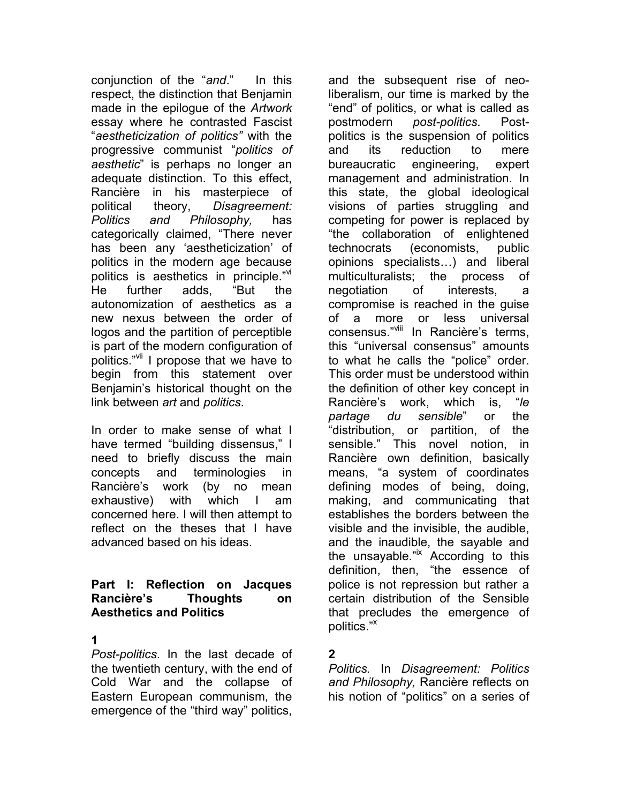conjunction of the "*and*." In this respect, the distinction that Benjamin made in the epilogue of the *Artwork*  essay where he contrasted Fascist "*aestheticization of politics"* with the progressive communist "*politics of aesthetic*" is perhaps no longer an adequate distinction. To this effect, Rancière in his masterpiece of political theory, *Disagreement: Politics and Philosophy,* has categorically claimed, "There never has been any 'aestheticization' of politics in the modern age because politics is aesthetics in principle."<sup>vi</sup> He further adds, "But the autonomization of aesthetics as a new nexus between the order of logos and the partition of perceptible is part of the modern configuration of politics."<sup>vii</sup> I propose that we have to begin from this statement over Benjamin's historical thought on the link between *art* and *politics*.

In order to make sense of what I have termed "building dissensus," I need to briefly discuss the main concepts and terminologies in Rancière's work (by no mean exhaustive) with which I am concerned here. I will then attempt to reflect on the theses that I have advanced based on his ideas.

#### **Part I: Reflection on Jacques Rancière's Thoughts on Aesthetics and Politics**

#### **1**

*Post-politics*. In the last decade of the twentieth century, with the end of Cold War and the collapse of Eastern European communism, the emergence of the "third way" politics,

and the subsequent rise of neoliberalism, our time is marked by the "end" of politics, or what is called as postmodern *post-politics*. Postpolitics is the suspension of politics and its reduction to mere bureaucratic engineering, expert management and administration. In this state, the global ideological visions of parties struggling and competing for power is replaced by "the collaboration of enlightened technocrats (economists, public opinions specialists…) and liberal multiculturalists; the process of negotiation of interests, a compromise is reached in the guise of a more or less universal consensus."<sup>viii</sup> In Rancière's terms. this "universal consensus" amounts to what he calls the "police" order. This order must be understood within the definition of other key concept in Rancière's work, which is, "*le partage du sensible*" or the "distribution, or partition, of the sensible." This novel notion, in Rancière own definition, basically means, "a system of coordinates defining modes of being, doing, making, and communicating that establishes the borders between the visible and the invisible, the audible, and the inaudible, the sayable and the unsayable."<sup>ix</sup> According to this definition, then, "the essence of police is not repression but rather a certain distribution of the Sensible that precludes the emergence of politics."x

# **2**

*Politics.* In *Disagreement: Politics and Philosophy,* Rancière reflects on his notion of "politics" on a series of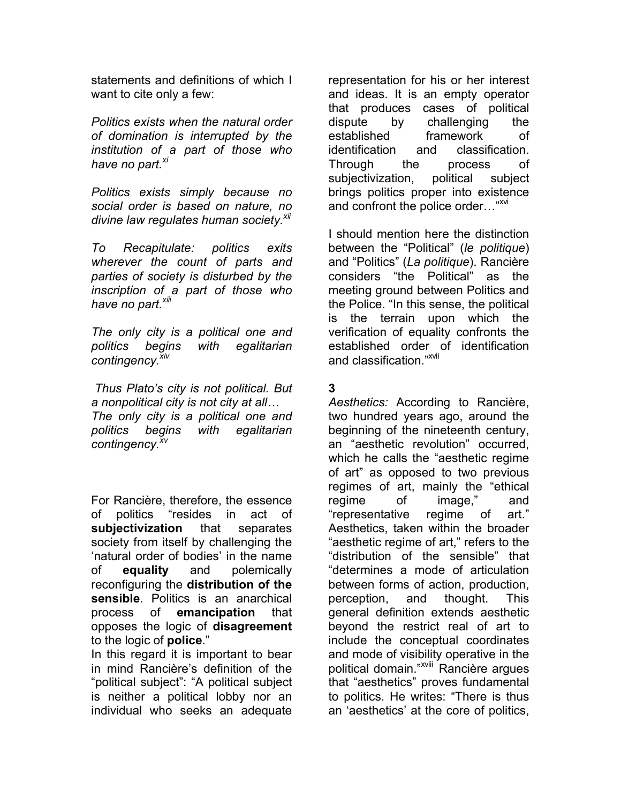statements and definitions of which I want to cite only a few:

*Politics exists when the natural order of domination is interrupted by the institution of a part of those who have no part. xi*

*Politics exists simply because no social order is based on nature, no divine law regulates human society.xii*

*To Recapitulate: politics exits wherever the count of parts and parties of society is disturbed by the inscription of a part of those who have no part. xiii*

*The only city is a political one and politics begins with egalitarian contingency.xiv*

 *Thus Plato's city is not political. But a nonpolitical city is not city at all… The only city is a political one and politics begins with egalitarian contingency.xv*

For Rancière, therefore, the essence of politics "resides in act of **subjectivization** that separates society from itself by challenging the 'natural order of bodies' in the name of **equality** and polemically reconfiguring the **distribution of the sensible**. Politics is an anarchical process of **emancipation** that opposes the logic of **disagreement** to the logic of **police**."

In this regard it is important to bear in mind Rancière's definition of the "political subject": "A political subject is neither a political lobby nor an individual who seeks an adequate

representation for his or her interest and ideas. It is an empty operator that produces cases of political dispute by challenging the established framework of identification and classification. Through the process of subjectivization, political subject brings politics proper into existence and confront the police order..."<sup>xvi</sup>

I should mention here the distinction between the "Political" (*le politique*) and "Politics" (*La politique*). Rancière considers "the Political" as the meeting ground between Politics and the Police. "In this sense, the political is the terrain upon which the verification of equality confronts the established order of identification and classification."<sup>xvii</sup>

# **3**

*Aesthetics:* According to Rancière, two hundred years ago, around the beginning of the nineteenth century, an "aesthetic revolution" occurred, which he calls the "aesthetic regime of art" as opposed to two previous regimes of art, mainly the "ethical regime of image," and "representative regime of art." Aesthetics, taken within the broader "aesthetic regime of art," refers to the "distribution of the sensible" that "determines a mode of articulation between forms of action, production, perception, and thought. This general definition extends aesthetic beyond the restrict real of art to include the conceptual coordinates and mode of visibility operative in the political domain."<sup>xviii</sup> Rancière argues that "aesthetics" proves fundamental to politics. He writes: "There is thus an 'aesthetics' at the core of politics,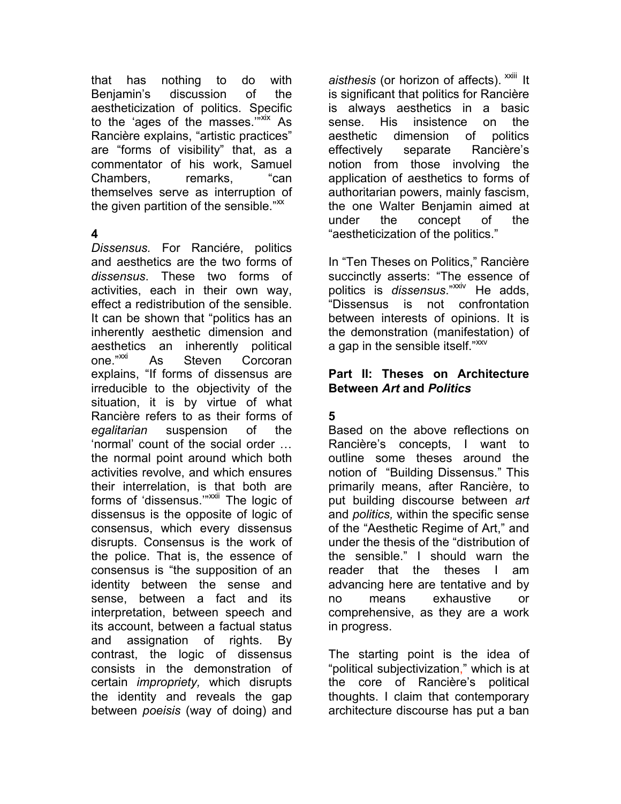that has nothing to do with Benjamin's discussion of the aestheticization of politics. Specific to the 'ages of the masses."<sup>"XIX</sup> As Rancière explains, "artistic practices" are "forms of visibility" that, as a commentator of his work, Samuel Chambers, remarks, "can themselves serve as interruption of the given partition of the sensible." $\mathbb{X}$ 

# **4**

*Dissensus.* For Ranciére, politics and aesthetics are the two forms of *dissensus*. These two forms of activities, each in their own way, effect a redistribution of the sensible. It can be shown that "politics has an inherently aesthetic dimension and aesthetics an inherently political<br>one."<sup>xxi</sup> As Steven Corcoran As Steven Corcoran explains, "If forms of dissensus are irreducible to the objectivity of the situation, it is by virtue of what Rancière refers to as their forms of *egalitarian* suspension of the 'normal' count of the social order … the normal point around which both activities revolve, and which ensures their interrelation, is that both are forms of 'dissensus.'"<sup>XXII</sup> The logic of dissensus is the opposite of logic of consensus, which every dissensus disrupts. Consensus is the work of the police. That is, the essence of consensus is "the supposition of an identity between the sense and sense, between a fact and its interpretation, between speech and its account, between a factual status and assignation of rights. By contrast, the logic of dissensus consists in the demonstration of certain *impropriety,* which disrupts the identity and reveals the gap between *poeisis* (way of doing) and

aisthesis (or horizon of affects). <sup>xxiii</sup>lt is significant that politics for Rancière is always aesthetics in a basic sense. His insistence on the aesthetic dimension of politics effectively separate Rancière's notion from those involving the application of aesthetics to forms of authoritarian powers, mainly fascism, the one Walter Benjamin aimed at under the concept of the "aestheticization of the politics."

In "Ten Theses on Politics," Rancière succinctly asserts: "The essence of politics is *dissensus*."xxiv He adds, "Dissensus is not confrontation between interests of opinions. It is the demonstration (manifestation) of a gap in the sensible itself."<sup>xxv</sup>

#### **Part II: Theses on Architecture Between** *Art* **and** *Politics*

# **5**

Based on the above reflections on Rancière's concepts, I want to outline some theses around the notion of "Building Dissensus." This primarily means, after Rancière, to put building discourse between *art* and *politics,* within the specific sense of the "Aesthetic Regime of Art," and under the thesis of the "distribution of the sensible." I should warn the reader that the theses I am advancing here are tentative and by no means exhaustive or comprehensive, as they are a work in progress.

The starting point is the idea of "political subjectivization," which is at the core of Rancière's political thoughts. I claim that contemporary architecture discourse has put a ban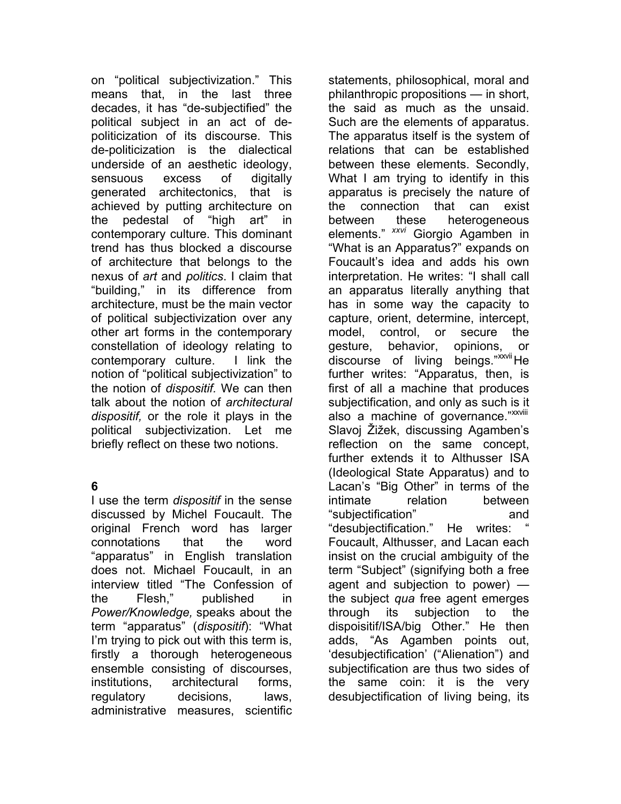on "political subjectivization." This means that, in the last three decades, it has "de-subjectified" the political subject in an act of depoliticization of its discourse. This de-politicization is the dialectical underside of an aesthetic ideology, sensuous excess of digitally generated architectonics, that is achieved by putting architecture on the pedestal of "high art" in contemporary culture. This dominant trend has thus blocked a discourse of architecture that belongs to the nexus of *art* and *politics*. I claim that "building," in its difference from architecture, must be the main vector of political subjectivization over any other art forms in the contemporary constellation of ideology relating to contemporary culture. I link the notion of "political subjectivization" to the notion of *dispositif.* We can then talk about the notion of *architectural dispositif,* or the role it plays in the political subjectivization. Let me briefly reflect on these two notions.

# **6**

I use the term *dispositif* in the sense discussed by Michel Foucault. The original French word has larger connotations that the word "apparatus" in English translation does not. Michael Foucault, in an interview titled "The Confession of the Flesh," published in *Power/Knowledge,* speaks about the term "apparatus" (*dispositif*): "What I'm trying to pick out with this term is, firstly a thorough heterogeneous ensemble consisting of discourses, institutions, architectural forms, regulatory decisions, laws, administrative measures, scientific

statements, philosophical, moral and philanthropic propositions — in short, the said as much as the unsaid. Such are the elements of apparatus. The apparatus itself is the system of relations that can be established between these elements. Secondly, What I am trying to identify in this apparatus is precisely the nature of the connection that can exist between these heterogeneous elements." *xxvi* Giorgio Agamben in "What is an Apparatus?" expands on Foucault's idea and adds his own interpretation. He writes: "I shall call an apparatus literally anything that has in some way the capacity to capture, orient, determine, intercept, model, control, or secure the gesture, behavior, opinions, or discourse of living beings."XXVII He further writes: "Apparatus, then, is first of all a machine that produces subjectification, and only as such is it also a machine of governance."<sup>xxviii</sup> Slavoj Žižek, discussing Agamben's reflection on the same concept, further extends it to Althusser ISA (Ideological State Apparatus) and to Lacan's "Big Other" in terms of the intimate relation between "subjectification" and "desubjectification." He writes: " Foucault, Althusser, and Lacan each insist on the crucial ambiguity of the term "Subject" (signifying both a free agent and subjection to power) the subject *qua* free agent emerges through its subjection to the dispoisitif/ISA/big Other." He then adds, "As Agamben points out, 'desubjectification' ("Alienation") and subjectification are thus two sides of the same coin: it is the very desubjectification of living being, its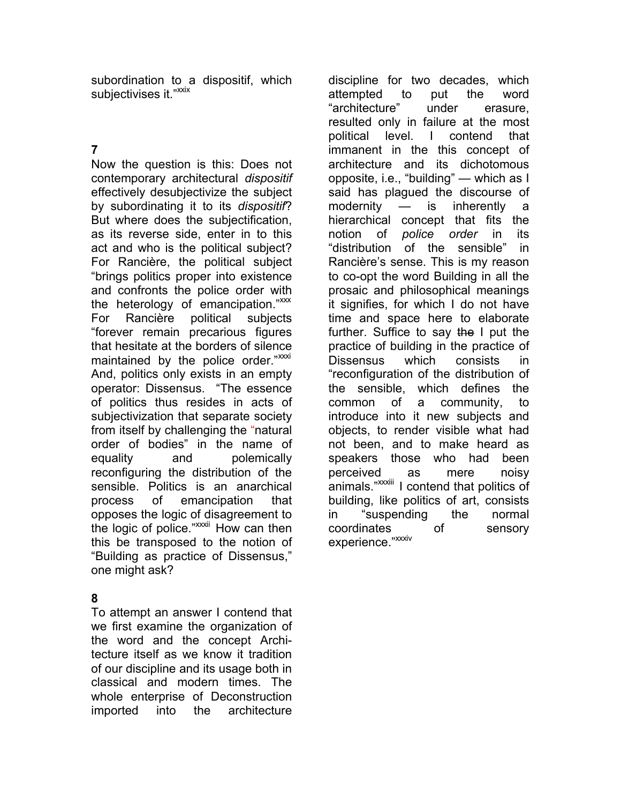subordination to a dispositif, which subjectivises it."<sup>xxix</sup>

# **7**

Now the question is this: Does not contemporary architectural *dispositif* effectively desubjectivize the subject by subordinating it to its *dispositif*? But where does the subjectification, as its reverse side, enter in to this act and who is the political subject? For Rancière, the political subject "brings politics proper into existence and confronts the police order with the heterology of emancipation." $\frac{3}{2}$ For Rancière political subjects "forever remain precarious figures that hesitate at the borders of silence maintained by the police order."xxxi And, politics only exists in an empty operator: Dissensus. "The essence of politics thus resides in acts of subjectivization that separate society from itself by challenging the "natural order of bodies" in the name of equality and polemically reconfiguring the distribution of the sensible. Politics is an anarchical process of emancipation that opposes the logic of disagreement to the logic of police."<sup>xxxii</sup> How can then this be transposed to the notion of "Building as practice of Dissensus," one might ask?

# **8**

To attempt an answer I contend that we first examine the organization of the word and the concept Architecture itself as we know it tradition of our discipline and its usage both in classical and modern times. The whole enterprise of Deconstruction imported into the architecture

discipline for two decades, which attempted to put the word "architecture" under erasure, resulted only in failure at the most political level. I contend that immanent in the this concept of architecture and its dichotomous opposite, i.e., "building" — which as I said has plagued the discourse of modernity — is inherently a hierarchical concept that fits the notion of *police order* in its "distribution of the sensible" in Rancière's sense. This is my reason to co-opt the word Building in all the prosaic and philosophical meanings it signifies, for which I do not have time and space here to elaborate further. Suffice to say the I put the practice of building in the practice of Dissensus which consists in "reconfiguration of the distribution of the sensible, which defines the common of a community, to introduce into it new subjects and objects, to render visible what had not been, and to make heard as speakers those who had been perceived as mere noisy animals."xxxiii I contend that politics of building, like politics of art, consists in "suspending the normal coordinates of sensory experience."XXXIV